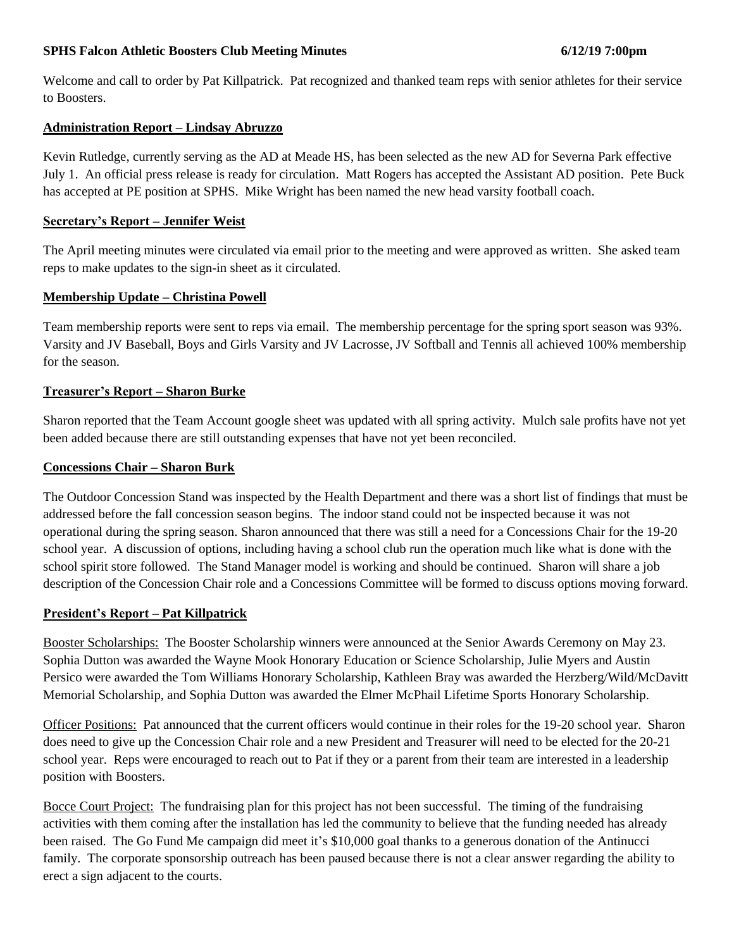### **SPHS Falcon Athletic Boosters Club Meeting Minutes 6/12/19 7:00pm**

Welcome and call to order by Pat Killpatrick. Pat recognized and thanked team reps with senior athletes for their service to Boosters.

### **Administration Report – Lindsay Abruzzo**

Kevin Rutledge, currently serving as the AD at Meade HS, has been selected as the new AD for Severna Park effective July 1. An official press release is ready for circulation. Matt Rogers has accepted the Assistant AD position. Pete Buck has accepted at PE position at SPHS. Mike Wright has been named the new head varsity football coach.

### **Secretary's Report – Jennifer Weist**

The April meeting minutes were circulated via email prior to the meeting and were approved as written. She asked team reps to make updates to the sign-in sheet as it circulated.

# **Membership Update – Christina Powell**

Team membership reports were sent to reps via email. The membership percentage for the spring sport season was 93%. Varsity and JV Baseball, Boys and Girls Varsity and JV Lacrosse, JV Softball and Tennis all achieved 100% membership for the season.

# **Treasurer's Report – Sharon Burke**

Sharon reported that the Team Account google sheet was updated with all spring activity. Mulch sale profits have not yet been added because there are still outstanding expenses that have not yet been reconciled.

#### **Concessions Chair – Sharon Burk**

The Outdoor Concession Stand was inspected by the Health Department and there was a short list of findings that must be addressed before the fall concession season begins. The indoor stand could not be inspected because it was not operational during the spring season. Sharon announced that there was still a need for a Concessions Chair for the 19-20 school year. A discussion of options, including having a school club run the operation much like what is done with the school spirit store followed. The Stand Manager model is working and should be continued. Sharon will share a job description of the Concession Chair role and a Concessions Committee will be formed to discuss options moving forward.

#### **President's Report – Pat Killpatrick**

Booster Scholarships: The Booster Scholarship winners were announced at the Senior Awards Ceremony on May 23. Sophia Dutton was awarded the Wayne Mook Honorary Education or Science Scholarship, Julie Myers and Austin Persico were awarded the Tom Williams Honorary Scholarship, Kathleen Bray was awarded the Herzberg/Wild/McDavitt Memorial Scholarship, and Sophia Dutton was awarded the Elmer McPhail Lifetime Sports Honorary Scholarship.

Officer Positions: Pat announced that the current officers would continue in their roles for the 19-20 school year. Sharon does need to give up the Concession Chair role and a new President and Treasurer will need to be elected for the 20-21 school year. Reps were encouraged to reach out to Pat if they or a parent from their team are interested in a leadership position with Boosters.

Bocce Court Project: The fundraising plan for this project has not been successful. The timing of the fundraising activities with them coming after the installation has led the community to believe that the funding needed has already been raised. The Go Fund Me campaign did meet it's \$10,000 goal thanks to a generous donation of the Antinucci family. The corporate sponsorship outreach has been paused because there is not a clear answer regarding the ability to erect a sign adjacent to the courts.